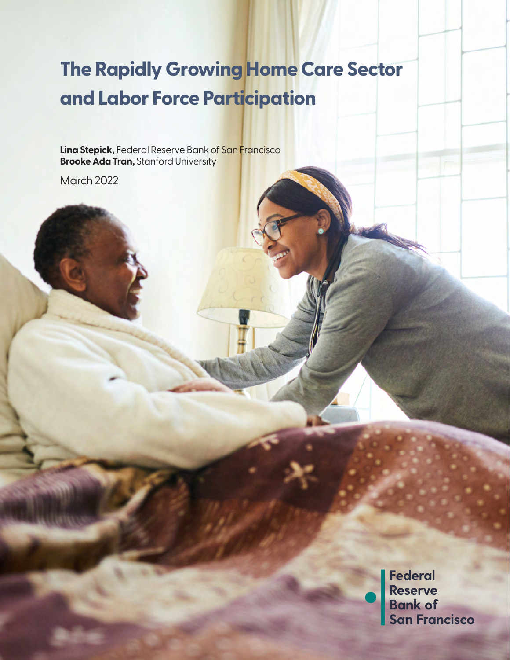## **and Labor Force Participation The Rapidly Growing Home Care Sector**

**Lina Stepick,** Federal Reserve Bank of San Francisco **Brooke Ada Tran, Stanford University** 

March 2022

**Federal** Reserve<br>Bank of<br>San Francisco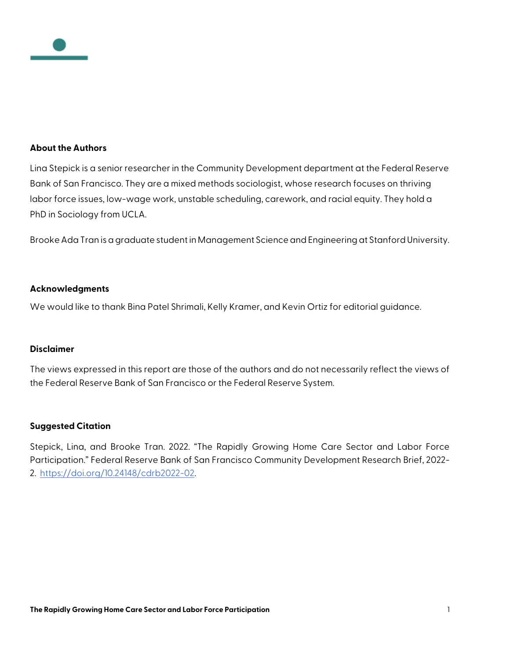

#### **About the Authors**

Lina Stepick is a senior researcher in the Community Development department at the Federal Reserve Bank of San Francisco. They are a mixed methods sociologist, whose research focuses on thriving labor force issues, low-wage work, unstable scheduling, carework, and racial equity. They hold a PhD in Sociology from UCLA.

Brooke Ada Tran is a graduate student in Management Science and Engineering at Stanford University.

#### **Acknowledgments**

We would like to thank Bina Patel Shrimali, Kelly Kramer, and Kevin Ortiz for editorial guidance.

#### **Disclaimer**

The views expressed in this report are those of the authors and do not necessarily reflect the views of the Federal Reserve Bank of San Francisco or the Federal Reserve System.

#### **Suggested Citation**

Stepick, Lina, and Brooke Tran. 2022. "The Rapidly Growing Home Care Sector and Labor Force Participation." Federal Reserve Bank of San Francisco Community Development Research Brief, 2022- 2. [https://doi.org/10.24148/cdrb2022-02.](https://doi.org/10.24148/cdrb2022-02)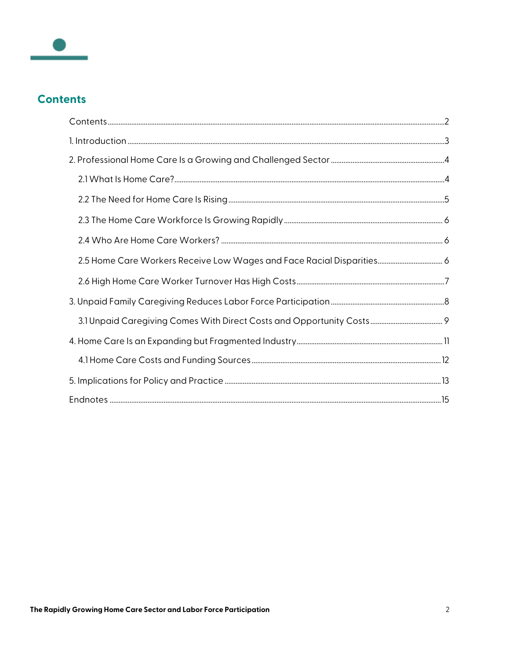

## <span id="page-2-0"></span>**Contents**

| 2.5 Home Care Workers Receive Low Wages and Face Racial Disparities 6 |  |
|-----------------------------------------------------------------------|--|
|                                                                       |  |
|                                                                       |  |
|                                                                       |  |
|                                                                       |  |
|                                                                       |  |
|                                                                       |  |
|                                                                       |  |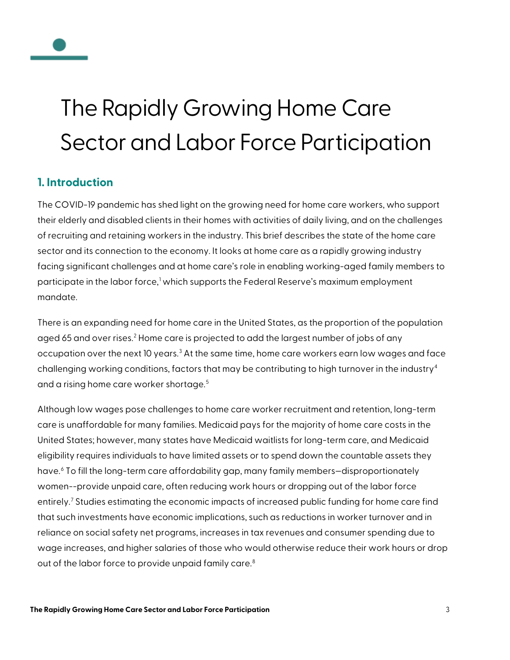# The Rapidly Growing Home Care Sector and Labor Force Participation

## <span id="page-3-0"></span>**1. Introduction**

The COVID-19 pandemic has shed light on the growing need for home care workers, who support their elderly and disabled clients in their homes with activities of daily living, and on the challenges of recruiting and retaining workers in the industry. This brief describes the state of the home care sector and its connection to the economy. It looks at home care as a rapidly growing industry facing significant challenges and at home care's role in enabling working-aged family members to participate in the labor force,<sup>[1](#page-15-1)</sup> which supports the Federal Reserve's maximum employment mandate.

There is an expanding need for home care in the United States, as the proportion of the population aged 65 and over rises.<sup>[2](#page-15-2)</sup> Home care is projected to add the largest number of jobs of any occupation over the next 10 years.<sup>[3](#page-15-3)</sup> At the same time, home care workers earn low wages and face challenging working conditions, factors that may be contributing to high turnover in the industry<sup>[4](#page-15-4)</sup> and a rising home care worker shortage.<sup>[5](#page-15-5)</sup>

Although low wages pose challenges to home care worker recruitment and retention, long-term care is unaffordable for many families. Medicaid pays for the majority of home care costs in the United States; however, many states have Medicaid waitlists for long-term care, and Medicaid eligibility requires individuals to have limited assets or to spend down the countable assets they have.[6](#page-15-6) To fill the long-term care affordability gap, many family members—disproportionately women--provide unpaid care, often reducing work hours or dropping out of the labor force entirely.<sup>[7](#page-15-7)</sup> Studies estimating the economic impacts of increased public funding for home care find that such investments have economic implications, such as reductions in worker turnover and in reliance on social safety net programs, increases in tax revenues and consumer spending due to wage increases, and higher salaries of those who would otherwise reduce their work hours or drop out of the labor force to provide unpaid family care.<sup>[8](#page-15-8)</sup>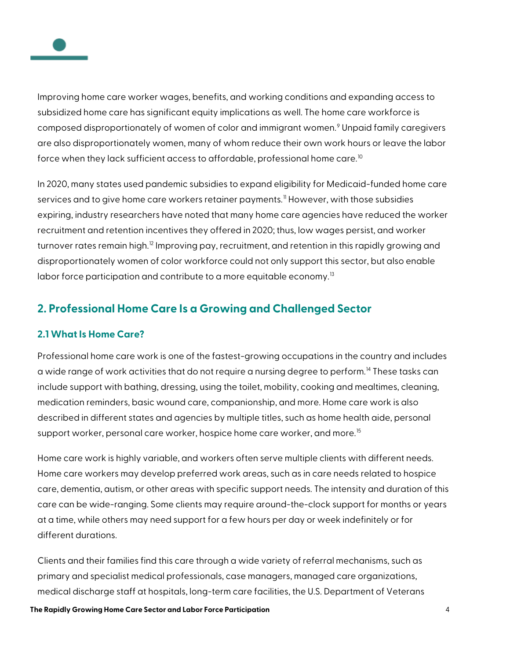

Improving home care worker wages, benefits, and working conditions and expanding access to subsidized home care has significant equity implications as well. The home care workforce is composed disproportionately of women of color and immigrant women.<sup>[9](#page-15-9)</sup> Unpaid family caregivers are also disproportionately women, many of whom reduce their own work hours or leave the labor force when they lack sufficient access to affordable, professional home care.<sup>[10](#page-15-10)</sup>

In 2020, many states used pandemic subsidies to expand eligibility for Medicaid-funded home care services and to give home care workers retainer payments.<sup>[11](#page-15-11)</sup> However, with those subsidies expiring, industry researchers have noted that many home care agencies have reduced the worker recruitment and retention incentives they offered in 2020; thus, low wages persist, and worker turnover rates remain high.<sup>[12](#page-15-12)</sup> Improving pay, recruitment, and retention in this rapidly growing and disproportionately women of color workforce could not only support this sector, but also enable labor force participation and contribute to a more equitable economy.<sup>[13](#page-15-13)</sup>

## <span id="page-4-0"></span>**2. Professional Home Care Is a Growing and Challenged Sector**

#### <span id="page-4-1"></span>**2.1 What Is Home Care?**

Professional home care work is one of the fastest-growing occupations in the country and includes a wide range of work activities that do not require a nursing degree to perform.<sup>[14](#page-15-14)</sup> These tasks can include support with bathing, dressing, using the toilet, mobility, cooking and mealtimes, cleaning, medication reminders, basic wound care, companionship, and more. Home care work is also described in different states and agencies by multiple titles, such as home health aide, personal support worker, personal care worker, hospice home care worker, and more.<sup>[15](#page-16-0)</sup>

Home care work is highly variable, and workers often serve multiple clients with different needs. Home care workers may develop preferred work areas, such as in care needs related to hospice care, dementia, autism, or other areas with specific support needs. The intensity and duration of this care can be wide-ranging. Some clients may require around-the-clock support for months or years at a time, while others may need support for a few hours per day or week indefinitely or for different durations.

Clients and their families find this care through a wide variety of referral mechanisms, such as primary and specialist medical professionals, case managers, managed care organizations, medical discharge staff at hospitals, long-term care facilities, the U.S. Department of Veterans

**The Rapidly Growing Home Care Sector and Labor Force Participation** 4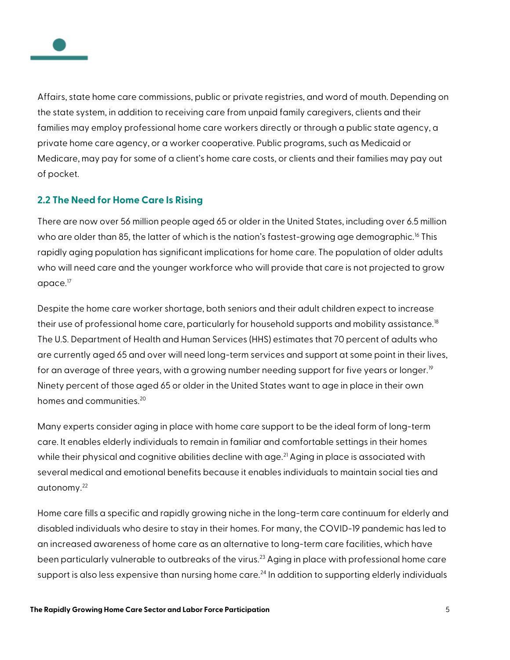

Affairs, state home care commissions, public or private registries, and word of mouth. Depending on the state system, in addition to receiving care from unpaid family caregivers, clients and their families may employ professional home care workers directly or through a public state agency, a private home care agency, or a worker cooperative. Public programs, such as Medicaid or Medicare, may pay for some of a client's home care costs, or clients and their families may pay out of pocket.

#### <span id="page-5-0"></span>**2.2 The Need for Home Care Is Rising**

There are now over 56 million people aged 65 or older in the United States, including over 6.5 million who are older than 85, the latter of which is the nation's fastest-growing age demographic.<sup>[16](#page-16-1)</sup> This rapidly aging population has significant implications for home care. The population of older adults who will need care and the younger workforce who will provide that care is not projected to grow apace.<sup>[17](#page-16-2)</sup>

Despite the home care worker shortage, both seniors and their adult children expect to increase their use of professional home care, particularly for household supports and mobility assistance.<sup>[18](#page-16-3)</sup> The U.S. Department of Health and Human Services (HHS) estimates that 70 percent of adults who are currently aged 65 and over will need long-term services and support at some point in their lives, for an average of three years, with a growing number needing support for five years or longer.<sup>[19](#page-16-4)</sup> Ninety percent of those aged 65 or older in the United States want to age in place in their own homes and communities<sup>[20](#page-16-5)</sup>

Many experts consider aging in place with home care support to be the ideal form of long-term care. It enables elderly individuals to remain in familiar and comfortable settings in their homes while their physical and cognitive abilities decline with age.<sup>[21](#page-16-6)</sup> Aging in place is associated with several medical and emotional benefits because it enables individuals to maintain social ties and autonomy.[22](#page-16-7)

Home care fills a specific and rapidly growing niche in the long-term care continuum for elderly and disabled individuals who desire to stay in their homes. For many, the COVID-19 pandemic has led to an increased awareness of home care as an alternative to long-term care facilities, which have been particularly vulnerable to outbreaks of the virus.<sup>[23](#page-16-8)</sup> Aging in place with professional home care support is also less expensive than nursing home care.<sup>[24](#page-16-9)</sup> In addition to supporting elderly individuals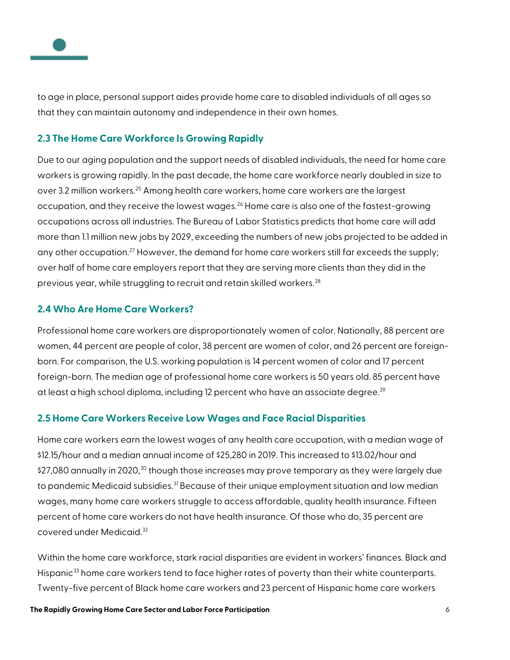

to age in place, personal support aides provide home care to disabled individuals of all ages so that they can maintain autonomy and independence in their own homes.

#### <span id="page-6-0"></span>**2.3 The Home Care Workforce Is Growing Rapidly**

Due to our aging population and the support needs of disabled individuals, the need for home care workers is growing rapidly. In the past decade, the home care workforce nearly doubled in size to over 3.2 million workers.<sup>[25](#page-16-10)</sup> Among health care workers, home care workers are the largest occupation, and they receive the lowest wages.<sup>[26](#page-16-11)</sup> Home care is also one of the fastest-growing occupations across all industries. The Bureau of Labor Statistics predicts that home care will add more than 1.1 million new jobs by 2029, exceeding the numbers of new jobs projected to be added in any other occupation.<sup>[27](#page-16-12)</sup> However, the demand for home care workers still far exceeds the supply; over half of home care employers report that they are serving more clients than they did in the previous year, while struggling to recruit and retain skilled workers.<sup>[28](#page-16-13)</sup>

#### <span id="page-6-1"></span>**2.4 Who Are Home Care Workers?**

Professional home care workers are disproportionately women of color. Nationally, 88 percent are women, 44 percent are people of color, 38 percent are women of color, and 26 percent are foreignborn. For comparison, the U.S. working population is 14 percent women of color and 17 percent foreign-born. The median age of professional home care workers is 50 years old. 85 percent have at least a high school diploma, including 12 percent who have an associate degree.<sup>[29](#page-16-14)</sup>

#### <span id="page-6-2"></span>**2.5 Home Care Workers Receive Low Wages and Face Racial Disparities**

Home care workers earn the lowest wages of any health care occupation, with a median wage of \$12.15/hour and a median annual income of \$25,280 in 2019. This increased to \$13.02/hour and \$27,080 annually in 2020,<sup>[30](#page-16-15)</sup> though those increases may prove temporary as they were largely due to pandemic Medicaid subsidies.<sup>[31](#page-16-16)</sup> Because of their unique employment situation and low median wages, many home care workers struggle to access affordable, quality health insurance. Fifteen percent of home care workers do not have health insurance. Of those who do, 35 percent are covered under Medicaid.<sup>[32](#page-16-17)</sup>

Within the home care workforce, stark racial disparities are evident in workers' finances. Black and Hispanic<sup>[33](#page-17-0)</sup> home care workers tend to face higher rates of poverty than their white counterparts. Twenty-five percent of Black home care workers and 23 percent of Hispanic home care workers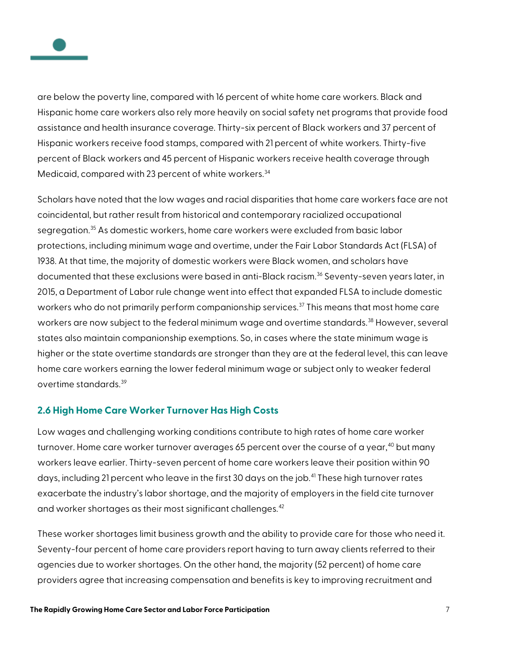

are below the poverty line, compared with 16 percent of white home care workers. Black and Hispanic home care workers also rely more heavily on social safety net programs that provide food assistance and health insurance coverage. Thirty-six percent of Black workers and 37 percent of Hispanic workers receive food stamps, compared with 21 percent of white workers. Thirty-five percent of Black workers and 45 percent of Hispanic workers receive health coverage through Medicaid, compared with 23 percent of white workers.<sup>[34](#page-17-1)</sup>

Scholars have noted that the low wages and racial disparities that home care workers face are not coincidental, but rather result from historical and contemporary racialized occupational segregation.<sup>[35](#page-17-2)</sup> As domestic workers, home care workers were excluded from basic labor protections, including minimum wage and overtime, under the Fair Labor Standards Act (FLSA) of 1938. At that time, the majority of domestic workers were Black women, and scholars have documented that these exclusions were based in anti-Black racism.<sup>[36](#page-17-3)</sup> Seventy-seven years later, in 2015, a Department of Labor rule change went into effect that expanded FLSA to include domestic workers who do not primarily perform companionship services.<sup>[37](#page-17-4)</sup> This means that most home care workers are now subject to the federal minimum wage and overtime standards.<sup>[38](#page-17-5)</sup> However, several states also maintain companionship exemptions. So, in cases where the state minimum wage is higher or the state overtime standards are stronger than they are at the federal level, this can leave home care workers earning the lower federal minimum wage or subject only to weaker federal overtime standards.[39](#page-17-6)

#### <span id="page-7-0"></span>**2.6 High Home Care Worker Turnover Has High Costs**

Low wages and challenging working conditions contribute to high rates of home care worker turnover. Home care worker turnover averages 65 percent over the course of a year,<sup>[40](#page-17-7)</sup> but many workers leave earlier. Thirty-seven percent of home care workers leave their position within 90 days, including 21 percent who leave in the first 30 days on the job.<sup>[41](#page-17-8)</sup> These high turnover rates exacerbate the industry's labor shortage, and the majority of employers in the field cite turnover and worker shortages as their most significant challenges.<sup>[42](#page-17-9)</sup>

These worker shortages limit business growth and the ability to provide care for those who need it. Seventy-four percent of home care providers report having to turn away clients referred to their agencies due to worker shortages. On the other hand, the majority (52 percent) of home care providers agree that increasing compensation and benefits is key to improving recruitment and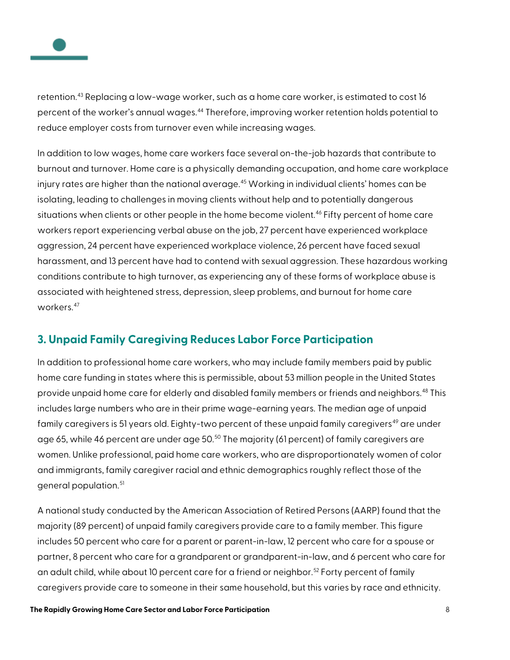

retention.<sup>[43](#page-17-10)</sup> Replacing a low-wage worker, such as a home care worker, is estimated to cost 16 percent of the worker's annual wages.<sup>[44](#page-17-11)</sup> Therefore, improving worker retention holds potential to reduce employer costs from turnover even while increasing wages.

In addition to low wages, home care workers face several on-the-job hazards that contribute to burnout and turnover. Home care is a physically demanding occupation, and home care workplace injury rates are higher than the national average.<sup>[45](#page-17-12)</sup> Working in individual clients' homes can be isolating, leading to challenges in moving clients without help and to potentially dangerous situations when clients or other people in the home become violent.<sup>[46](#page-17-13)</sup> Fifty percent of home care workers report experiencing verbal abuse on the job, 27 percent have experienced workplace aggression, 24 percent have experienced workplace violence, 26 percent have faced sexual harassment, and 13 percent have had to contend with sexual aggression. These hazardous working conditions contribute to high turnover, as experiencing any of these forms of workplace abuse is associated with heightened stress, depression, sleep problems, and burnout for home care workers.<sup>[47](#page-17-14)</sup>

## <span id="page-8-0"></span>**3. Unpaid Family Caregiving Reduces Labor Force Participation**

In addition to professional home care workers, who may include family members paid by public home care funding in states where this is permissible, about 53 million people in the United States provide unpaid home care for elderly and disabled family members or friends and neighbors.<sup>[48](#page-17-15)</sup> This includes large numbers who are in their prime wage-earning years. The median age of unpaid family caregivers is 51 years old. Eighty-two percent of these unpaid family caregivers<sup>[49](#page-17-16)</sup> are under age 65, while 46 percent are under age [50](#page-17-17).<sup>50</sup> The majority (61 percent) of family caregivers are women. Unlike professional, paid home care workers, who are disproportionately women of color and immigrants, family caregiver racial and ethnic demographics roughly reflect those of the general population.<sup>[51](#page-18-0)</sup>

A national study conducted by the American Association of Retired Persons (AARP) found that the majority (89 percent) of unpaid family caregivers provide care to a family member. This figure includes 50 percent who care for a parent or parent-in-law, 12 percent who care for a spouse or partner, 8 percent who care for a grandparent or grandparent-in-law, and 6 percent who care for an adult child, while about 10 percent care for a friend or neighbor.<sup>[52](#page-18-1)</sup> Forty percent of family caregivers provide care to someone in their same household, but this varies by race and ethnicity.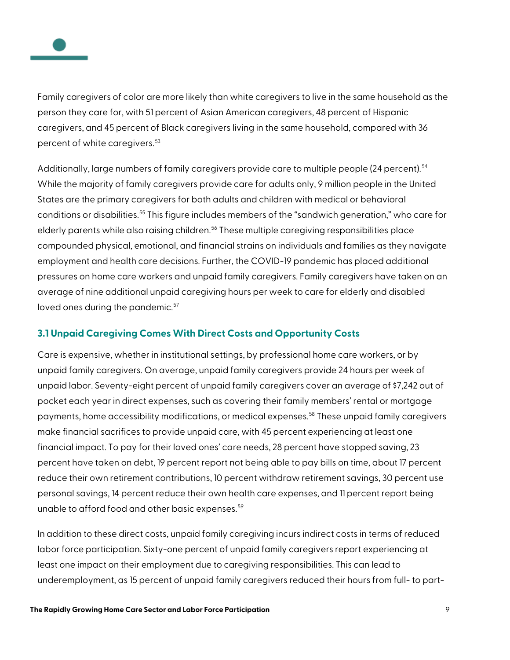

Family caregivers of color are more likely than white caregivers to live in the same household as the person they care for, with 51 percent of Asian American caregivers, 48 percent of Hispanic caregivers, and 45 percent of Black caregivers living in the same household, compared with 36 percent of white caregivers.<sup>[53](#page-18-2)</sup>

Additionally, large numbers of family caregivers provide care to multiple people (24 percent).<sup>[54](#page-18-3)</sup> While the majority of family caregivers provide care for adults only, 9 million people in the United States are the primary caregivers for both adults and children with medical or behavioral conditions or disabilities.<sup>[55](#page-18-4)</sup> This figure includes members of the "sandwich generation," who care for elderly parents while also raising children.<sup>[56](#page-18-5)</sup> These multiple caregiving responsibilities place compounded physical, emotional, and financial strains on individuals and families as they navigate employment and health care decisions. Further, the COVID-19 pandemic has placed additional pressures on home care workers and unpaid family caregivers. Family caregivers have taken on an average of nine additional unpaid caregiving hours per week to care for elderly and disabled loved ones during the pandemic.<sup>[57](#page-18-6)</sup>

#### <span id="page-9-0"></span>**3.1 Unpaid Caregiving Comes With Direct Costs and Opportunity Costs**

Care is expensive, whether in institutional settings, by professional home care workers, or by unpaid family caregivers. On average, unpaid family caregivers provide 24 hours per week of unpaid labor. Seventy-eight percent of unpaid family caregivers cover an average of \$7,242 out of pocket each year in direct expenses, such as covering their family members' rental or mortgage payments, home accessibility modifications, or medical expenses.[58](#page-18-7) These unpaid family caregivers make financial sacrifices to provide unpaid care, with 45 percent experiencing at least one financial impact. To pay for their loved ones' care needs, 28 percent have stopped saving, 23 percent have taken on debt, 19 percent report not being able to pay bills on time, about 17 percent reduce their own retirement contributions, 10 percent withdraw retirement savings, 30 percent use personal savings, 14 percent reduce their own health care expenses, and 11 percent report being unable to afford food and other basic expenses.<sup>[59](#page-18-8)</sup>

In addition to these direct costs, unpaid family caregiving incurs indirect costs in terms of reduced labor force participation. Sixty-one percent of unpaid family caregivers report experiencing at least one impact on their employment due to caregiving responsibilities. This can lead to underemployment, as 15 percent of unpaid family caregivers reduced their hours from full- to part-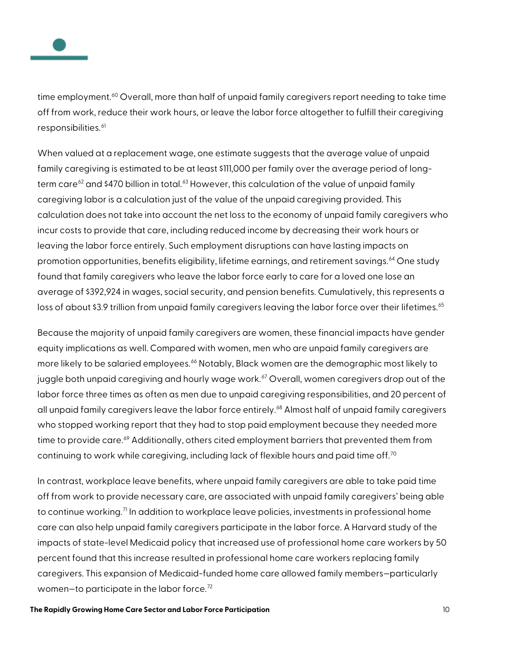

time employment.<sup>[60](#page-18-9)</sup> Overall, more than half of unpaid family caregivers report needing to take time off from work, reduce their work hours, or leave the labor force altogether to fulfill their caregiving responsibilities.<sup>[61](#page-18-10)</sup>

When valued at a replacement wage, one estimate suggests that the average value of unpaid family caregiving is estimated to be at least \$111,000 per family over the average period of long-term care<sup>[62](#page-18-11)</sup> and \$470 billion in total.<sup>[63](#page-18-12)</sup> However, this calculation of the value of unpaid family caregiving labor is a calculation just of the value of the unpaid caregiving provided. This calculation does not take into account the net loss to the economy of unpaid family caregivers who incur costs to provide that care, including reduced income by decreasing their work hours or leaving the labor force entirely. Such employment disruptions can have lasting impacts on promotion opportunities, benefits eligibility, lifetime earnings, and retirement savings.<sup>[64](#page-18-13)</sup> One study found that family caregivers who leave the labor force early to care for a loved one lose an average of \$392,924 in wages, social security, and pension benefits. Cumulatively, this represents a loss of about \$3.9 trillion from unpaid family caregivers leaving the labor force over their lifetimes.<sup>[65](#page-18-14)</sup>

Because the majority of unpaid family caregivers are women, these financial impacts have gender equity implications as well. Compared with women, men who are unpaid family caregivers are more likely to be salaried employees.<sup>[66](#page-18-15)</sup> Notably, Black women are the demographic most likely to juggle both unpaid caregiving and hourly wage work.<sup>[67](#page-18-16)</sup> Overall, women caregivers drop out of the labor force three times as often as men due to unpaid caregiving responsibilities, and 20 percent of all unpaid family caregivers leave the labor force entirely.<sup>[68](#page-18-17)</sup> Almost half of unpaid family caregivers who stopped working report that they had to stop paid employment because they needed more time to provide care.<sup>[69](#page-18-18)</sup> Additionally, others cited employment barriers that prevented them from continuing to work while caregiving, including lack of flexible hours and paid time off.<sup>[70](#page-18-19)</sup>

In contrast, workplace leave benefits, where unpaid family caregivers are able to take paid time off from work to provide necessary care, are associated with unpaid family caregivers' being able to continue working.<sup>[71](#page-18-20)</sup> In addition to workplace leave policies, investments in professional home care can also help unpaid family caregivers participate in the labor force. A Harvard study of the impacts of state-level Medicaid policy that increased use of professional home care workers by 50 percent found that this increase resulted in professional home care workers replacing family caregivers. This expansion of Medicaid-funded home care allowed family members—particularly women-to participate in the labor force. $72$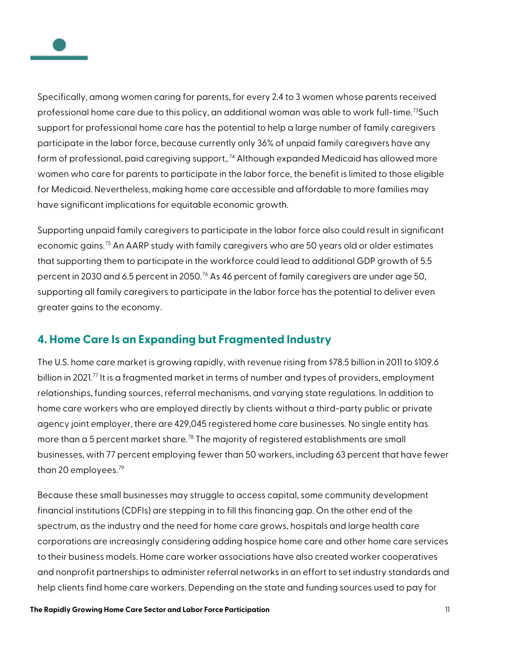

Specifically, among women caring for parents, for every 2.4 to 3 women whose parents received professional home care due to this policy, an additional woman was able to work full-time.<sup>[73](#page-18-22)</sup>Such support for professional home care has the potential to help a large number of family caregivers participate in the labor force, because currently only 36% of unpaid family caregivers have any form of professional, paid caregiving support,. [74](#page-18-23) Although expanded Medicaid has allowed more women who care for parents to participate in the labor force, the benefit is limited to those eligible for Medicaid. Nevertheless, making home care accessible and affordable to more families may have significant implications for equitable economic growth.

Supporting unpaid family caregivers to participate in the labor force also could result in significant economic gains.<sup>[75](#page-18-24)</sup> An AARP study with family caregivers who are 50 years old or older estimates that supporting them to participate in the workforce could lead to additional GDP growth of 5.5 percent in 2030 and 6.5 percent in 2050.<sup>[76](#page-18-25)</sup> As 46 percent of family caregivers are under age 50, supporting all family caregivers to participate in the labor force has the potential to deliver even greater gains to the economy.

## <span id="page-11-0"></span>**4. Home Care Is an Expanding but Fragmented Industry**

The U.S. home care market is growing rapidly, with revenue rising from \$78.5 billion in 2011 to \$109.6 billion in 2021.<sup>[77](#page-18-26)</sup> It is a fragmented market in terms of number and types of providers, employment relationships, funding sources, referral mechanisms, and varying state regulations. In addition to home care workers who are employed directly by clients without a third-party public or private agency joint employer, there are 429,045 registered home care businesses. No single entity has more than a 5 percent market share.<sup>[78](#page-19-0)</sup> The majority of registered establishments are small businesses, with 77 percent employing fewer than 50 workers, including 63 percent that have fewer than 20 employees. $79$ 

Because these small businesses may struggle to access capital, some community development financial institutions (CDFIs) are stepping in to fill this financing gap. On the other end of the spectrum, as the industry and the need for home care grows, hospitals and large health care corporations are increasingly considering adding hospice home care and other home care services to their business models. Home care worker associations have also created worker cooperatives and nonprofit partnerships to administer referral networks in an effort to set industry standards and help clients find home care workers. Depending on the state and funding sources used to pay for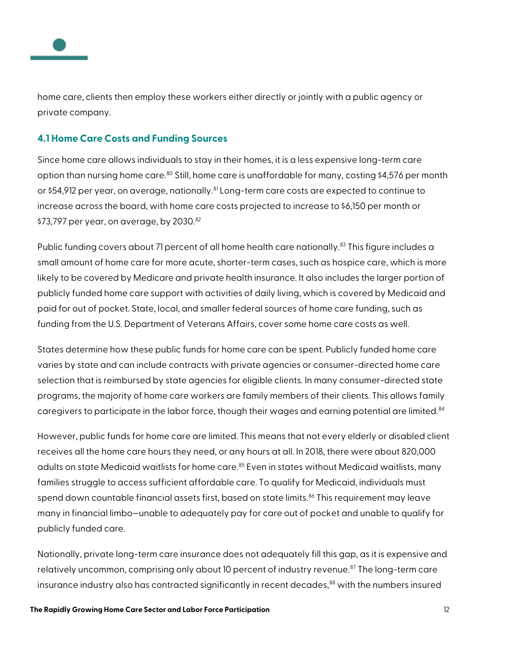

home care, clients then employ these workers either directly or jointly with a public agency or private company.

#### <span id="page-12-0"></span>**4.1 Home Care Costs and Funding Sources**

Since home care allows individuals to stay in their homes, it is a less expensive long-term care option than nursing home care.<sup>[80](#page-19-2)</sup> Still, home care is unaffordable for many, costing \$4,576 per month or \$54,912 per year, on average, nationally.<sup>[81](#page-19-3)</sup> Long-term care costs are expected to continue to increase across the board, with home care costs projected to increase to \$6,150 per month or \$73,797 per year, on average, by  $2030.^{82}$  $2030.^{82}$  $2030.^{82}$ 

Public funding covers about 71 percent of all home health care nationally.<sup>[83](#page-19-5)</sup> This figure includes a small amount of home care for more acute, shorter-term cases, such as hospice care, which is more likely to be covered by Medicare and private health insurance. It also includes the larger portion of publicly funded home care support with activities of daily living, which is covered by Medicaid and paid for out of pocket. State, local, and smaller federal sources of home care funding, such as funding from the U.S. Department of Veterans Affairs, cover some home care costs as well.

States determine how these public funds for home care can be spent. Publicly funded home care varies by state and can include contracts with private agencies or consumer-directed home care selection that is reimbursed by state agencies for eligible clients. In many consumer-directed state programs, the majority of home care workers are family members of their clients. This allows family caregivers to participate in the labor force, though their wages and earning potential are limited.<sup>[84](#page-19-6)</sup>

However, public funds for home care are limited. This means that not every elderly or disabled client receives all the home care hours they need, or any hours at all. In 2018, there were about 820,000 adults on state Medicaid waitlists for home care.<sup>[85](#page-19-7)</sup> Even in states without Medicaid waitlists, many families struggle to access sufficient affordable care. To qualify for Medicaid, individuals must spend down countable financial assets first, based on state limits.<sup>[86](#page-19-8)</sup> This requirement may leave many in financial limbo—unable to adequately pay for care out of pocket and unable to qualify for publicly funded care.

Nationally, private long-term care insurance does not adequately fill this gap, as it is expensive and relatively uncommon, comprising only about 10 percent of industry revenue.<sup>[87](#page-19-9)</sup> The long-term care insurance industry also has contracted significantly in recent decades,<sup>[88](#page-19-10)</sup> with the numbers insured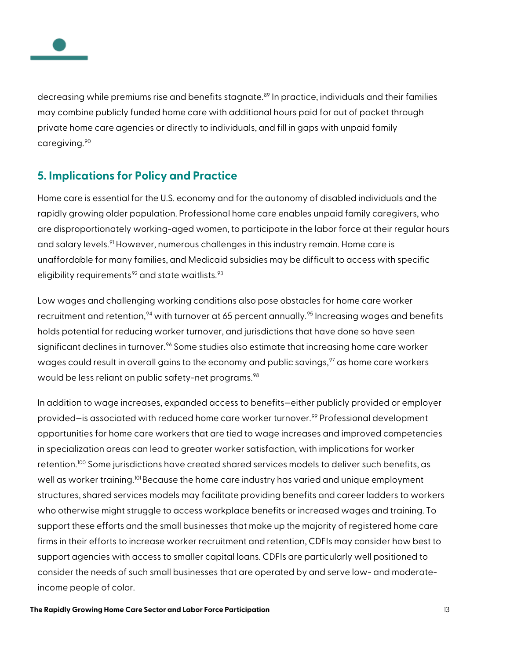

decreasing while premiums rise and benefits stagnate.<sup>[89](#page-19-11)</sup> In practice, individuals and their families may combine publicly funded home care with additional hours paid for out of pocket through private home care agencies or directly to individuals, and fill in gaps with unpaid family caregiving.<sup>[90](#page-19-12)</sup>

## <span id="page-13-0"></span>**5. Implications for Policy and Practice**

Home care is essential for the U.S. economy and for the autonomy of disabled individuals and the rapidly growing older population. Professional home care enables unpaid family caregivers, who are disproportionately working-aged women, to participate in the labor force at their regular hours and salary levels.<sup>[91](#page-19-13)</sup> However, numerous challenges in this industry remain. Home care is unaffordable for many families, and Medicaid subsidies may be difficult to access with specific eligibility requirements<sup>[92](#page-19-14)</sup> and state waitlists.<sup>[93](#page-19-15)</sup>

Low wages and challenging working conditions also pose obstacles for home care worker recruitment and retention,  $94$  with turnover at 65 percent annually.  $95$  Increasing wages and benefits holds potential for reducing worker turnover, and jurisdictions that have done so have seen significant declines in turnover.<sup>[96](#page-20-0)</sup> Some studies also estimate that increasing home care worker wages could result in overall gains to the economy and public savings,  $97$  as home care workers would be less reliant on public safety-net programs.<sup>[98](#page-20-2)</sup>

In addition to wage increases, expanded access to benefits—either publicly provided or employer provided—is associated with reduced home care worker turnover.[99](#page-20-3) Professional development opportunities for home care workers that are tied to wage increases and improved competencies in specialization areas can lead to greater worker satisfaction, with implications for worker retention.<sup>[100](#page-20-4)</sup> Some jurisdictions have created shared services models to deliver such benefits, as well as worker training.<sup>[101](#page-20-5)</sup> Because the home care industry has varied and unique employment structures, shared services models may facilitate providing benefits and career ladders to workers who otherwise might struggle to access workplace benefits or increased wages and training. To support these efforts and the small businesses that make up the majority of registered home care firms in their efforts to increase worker recruitment and retention, CDFIs may consider how best to support agencies with access to smaller capital loans. CDFIs are particularly well positioned to consider the needs of such small businesses that are operated by and serve low- and moderateincome people of color.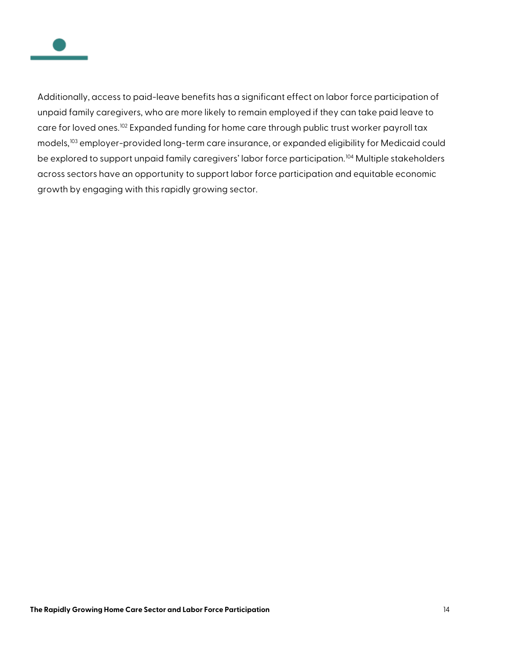

Additionally, access to paid-leave benefits has a significant effect on labor force participation of unpaid family caregivers, who are more likely to remain employed if they can take paid leave to care for loved ones.<sup>[102](#page-20-6)</sup> Expanded funding for home care through public trust worker payroll tax models,<sup>[103](#page-21-0)</sup> employer-provided long-term care insurance, or expanded eligibility for Medicaid could be explored to support unpaid family caregivers' labor force participation.<sup>[104](#page-21-1)</sup> Multiple stakeholders across sectors have an opportunity to support labor force participation and equitable economic growth by engaging with this rapidly growing sector.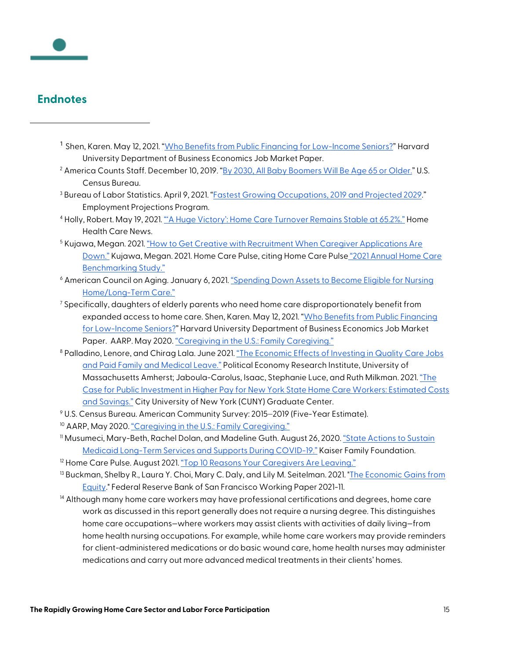

### <span id="page-15-1"></span><span id="page-15-0"></span>**Endnotes**

- <sup>1</sup> Shen, Karen. May 12, 2021. ["Who Benefits from Public Financing for Low-Income Seniors?"](https://scholar.harvard.edu/files/kshen/files/caregivers.pdf) Harvard University Department of Business Economics Job Market Paper.
- <span id="page-15-2"></span><sup>2</sup> America Counts Staff. December 10, 2019. ["By 2030, All Baby Boomers Will Be Age 65 or Older."](https://www.census.gov/library/stories/2019/12/by-2030-all-baby-boomers-will-be-age-65-or-older.html) U.S. Census Bureau.
- <span id="page-15-3"></span><sup>3</sup> Bureau of Labor Statistics. April 9, 2021. ["Fastest Growing Occupations, 2019 and Projected 2029."](https://www.bls.gov/emp/tables/fastest-growing-occupations.htm) Employment Projections Program.
- <span id="page-15-4"></span><sup>4</sup> Holly, Robert. May 19, 2021. ["'A Huge Victory': Home Care Turnover Remains Stable at 65.2%."](https://homehealthcarenews.com/2021/05/a-huge-victory-home-care-turnover-remains-stable-at-65-2/) Home Health Care News.
- <span id="page-15-5"></span><sup>5</sup> Kujawa, Megan. 2021. "How to Get Creative with Recruitment When Caregiver Applications Are [Down."](https://www.homecarepulse.com/articles/how-to-get-creative-with-recruitment-when-caregiver-applications-are-down/) Kujawa, Megan. 2021. Home Care Pulse, citing Home Care Pulse ["2021 Annual Home Care](https://store.homecarepulse.com/benchmarking/)  [Benchmarking Study."](https://store.homecarepulse.com/benchmarking/)
- <span id="page-15-6"></span><sup>6</sup> American Council on Aging. January 6, 2021[. "Spending Down Assets to Become Eligible for Nursing](https://www.medicaidplanningassistance.org/medicaid-spend-down/)  [Home/Long-Term Care."](https://www.medicaidplanningassistance.org/medicaid-spend-down/)
- <span id="page-15-7"></span> $\frac{7}{2}$  Specifically, daughters of elderly parents who need home care disproportionately benefit from expanded access to home care. Shen, Karen. May 12, 2021. "Who Benefits from Public Financing [for Low-Income Seniors?"](https://scholar.harvard.edu/files/kshen/files/caregivers.pdf) Harvard University Department of Business Economics Job Market Paper. AARP. May 2020[. "Caregiving in the U.S.: Family Caregiving."](https://www.aarp.org/content/dam/aarp/ppi/2020/05/full-report-caregiving-in-the-united-states.doi.10.26419-2Fppi.00103.001.pdf)
- <span id="page-15-8"></span><sup>8</sup> Palladino, Lenore, and Chirag Lala. June 2021[. "The Economic Effects of Investing in Quality Care](https://peri.umass.edu/component/k2/item/1465-the-economic-effects-of-investing-in-quality-care-jobs-and-paid-family-and-medical-leave) Jobs [and Paid Family and Medical Leave."](https://peri.umass.edu/component/k2/item/1465-the-economic-effects-of-investing-in-quality-care-jobs-and-paid-family-and-medical-leave) Political Economy Research Institute, University of Massachusetts Amherst; Jaboula-Carolus, Isaac, Stephanie Luce, and Ruth Milkman. 2021[. "The](https://slu.cuny.edu/wp-content/uploads/2021/03/The-Case-for-Public-Investment-in-Higher-Pay-for-New-York-State-H.pdf)  [Case for Public Investment in Higher Pay for New York State Home Care Workers: Estimated Costs](https://slu.cuny.edu/wp-content/uploads/2021/03/The-Case-for-Public-Investment-in-Higher-Pay-for-New-York-State-H.pdf)  [and Savings."](https://slu.cuny.edu/wp-content/uploads/2021/03/The-Case-for-Public-Investment-in-Higher-Pay-for-New-York-State-H.pdf) City University of New York (CUNY) Graduate Center.
- <span id="page-15-9"></span><sup>9</sup> U.S. Census Bureau. American Community Survey: 2015–2019 (Five-Year Estimate).
- <span id="page-15-10"></span><sup>10</sup> AARP, May 2020[. "Caregiving in the U.S.: Family Caregiving."](https://www.aarp.org/content/dam/aarp/ppi/2020/05/full-report-caregiving-in-the-united-states.doi.10.26419-2Fppi.00103.001.pdf)
- <span id="page-15-11"></span><sup>11</sup> Musumeci, Mary-Beth, Rachel Dolan, and Madeline Guth. August 26, 2020. *"State Actions to Sustain* [Medicaid Long-Term Services and Supports During COVID-19."](https://www.kff.org/medicaid/issue-brief/state-actions-to-sustain-medicaid-long-term-services-and-supports-during-covid-19/) Kaiser Family Foundation.
- <span id="page-15-12"></span><sup>12</sup> Home Care Pulse. August 2021[. "Top 10 Reasons Your Caregivers Are Leaving."](https://info.homecarepulse.com/hubfs/Webinar%20Slides/2021-08%20Top%2010%20Reasons%20Your%20Caregivers%20Are%20Leaving%20Slides.pdf)
- <span id="page-15-13"></span><sup>13</sup> Buckman, Shelby R., Laura Y. Choi, Mary C. Daly, and Lily M. Seitelman. 2021. "The Economic Gains from [Equity.](https://www.frbsf.org/economic-research/publications/working-papers/2021/11/)" Federal Reserve Bank of San Francisco Working Paper 2021-11.
- <span id="page-15-14"></span> $14$  Although many home care workers may have professional certifications and degrees, home care work as discussed in this report generally does not require a nursing degree. This distinguishes home care occupations—where workers may assist clients with activities of daily living—from home health nursing occupations. For example, while home care workers may provide reminders for client-administered medications or do basic wound care, home health nurses may administer medications and carry out more advanced medical treatments in their clients' homes.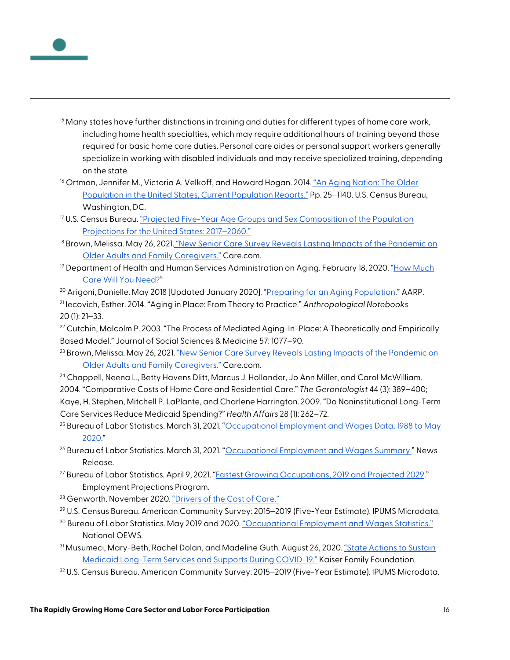

- <span id="page-16-0"></span><sup>15</sup> Many states have further distinctions in training and duties for different types of home care work, including home health specialties, which may require additional hours of training beyond those required for basic home care duties. Personal care aides or personal support workers generally specialize in working with disabled individuals and may receive specialized training, depending on the state.
- <span id="page-16-1"></span><sup>16</sup> Ortman, Jennifer M., Victoria A. Velkoff, and Howard Hogan. 2014. "An Aging Nation: The Older [Population in the United States, Current Population Reports."](https://permanent.fdlp.gov/gpo147806/p25-1140.pdf) Pp. 25–1140. U.S. Census Bureau, Washington, DC.
- <span id="page-16-2"></span> $17$  U.S. Census Bureau. "Projected Five-Year Age Groups and Sex Composition of the Population [Projections for the United States: 2017](https://www.census.gov/data/tables/2017/demo/popproj/2017-summary-tables.html)-2060."
- <span id="page-16-3"></span><sup>18</sup> Brown, Melissa. May 26, 2021. <u>"New S</u>enior Care Survey Reveals Lasting Impacts of the Pandemic on [Older Adults and Family Caregivers."](https://www.care.com/c/senior-care-outlook-survey) Care.com.
- <span id="page-16-4"></span><sup>19</sup> Department of Health and Human Services Administration on Aging. February 18, 2020. "How Much [Care Will You Need?"](https://acl.gov/ltc/basic-needs/how-much-care-will-you-need)
- <span id="page-16-5"></span><sup>20</sup> Arigoni, Danielle. May 2018 [Updated January 2020]. ["Preparing for an Aging Population."](https://www.aarp.org/livable-communities/about/info-2018/aarp-livable-communities-preparing-for-an-aging-nation.html) AARP.

<span id="page-16-6"></span><sup>21</sup> Iecovich, Esther. 2014. "Aging in Place: From Theory to Practice." *Anthropological Notebooks* 20 (1): 21‒33.

<span id="page-16-7"></span> $22$  Cutchin, Malcolm P. 2003. "The Process of Mediated Aging-In-Place: A Theoretically and Empirically Based Model." Journal of Social Sciences & Medicine 57: 1077–90.

<span id="page-16-8"></span><sup>23</sup> Brown, Melissa. May 26, 2021. "New Senior Care Survey Reveals Lasting Impacts of the Pandemic on [Older Adults and Family Caregivers."](https://www.care.com/c/senior-care-outlook-survey) Care.com.

<span id="page-16-9"></span><sup>24</sup> Chappell, Neena L., Betty Havens Dlitt, Marcus J. Hollander, Jo Ann Miller, and Carol McWilliam. 2004. "Comparative Costs of Home Care and Residential Care." *The Gerontologist* 44 (3): 389–400; Kaye, H. Stephen, Mitchell P. LaPlante, and Charlene Harrington. 2009. "Do Noninstitutional Long-Term Care Services Reduce Medicaid Spending?" *Health Affairs* 28 (1): 262–72.

<span id="page-16-10"></span><sup>25</sup> Bureau of Labor Statistics. March 31, 2021. "Occupational Employment and Wages Data, 1988 to May [2020."](https://www.bls.gov/oes/tables.htm)

<span id="page-16-11"></span><sup>26</sup> Bureau of Labor Statistics. March 31, 2021. ["Occupational Employment and Wages Summary."](https://www.bls.gov/news.release/pdf/ocwage.pdf) News Release.

<span id="page-16-12"></span><sup>27</sup> Bureau of Labor Statistics. April 9, 2021. ["Fastest Growing Occupations, 2019 and Projected 2029."](https://www.bls.gov/emp/tables/fastest-growing-occupations.htm) Employment Projections Program.

<span id="page-16-13"></span><sup>28</sup> Genworth. November 2020. ["Drivers of the Cost of Care."](https://pro.genworth.com/riiproweb/productinfo/pdf/650501.pdf)

<span id="page-16-14"></span><sup>29</sup> U.S. Census Bureau. American Community Survey: 2015–2019 (Five-Year Estimate). IPUMS Microdata.

- <span id="page-16-15"></span><sup>30</sup> Bureau of Labor Statistics. May 2019 and 2020[. "Occupational Employment and Wages Statistics."](https://www.bls.gov/oes/tables.htm) National OEWS.
- <span id="page-16-16"></span><sup>31</sup> Musumeci, Mary-Beth, Rachel Dolan, and Madeline Guth. August 26, 2020[. "State Actions to Sustain](https://www.kff.org/medicaid/issue-brief/state-actions-to-sustain-medicaid-long-term-services-and-supports-during-covid-19/)  [Medicaid Long-Term Services and Supports During COVID-19."](https://www.kff.org/medicaid/issue-brief/state-actions-to-sustain-medicaid-long-term-services-and-supports-during-covid-19/) Kaiser Family Foundation.
- <span id="page-16-17"></span>32 U.S. Census Bureau. American Community Survey: 2015–2019 (Five-Year Estimate). IPUMS Microdata.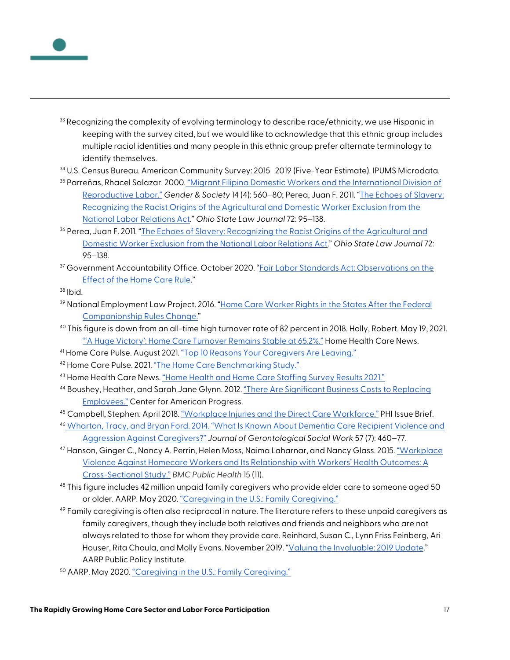

- <span id="page-17-0"></span> $33$  Recognizing the complexity of evolving terminology to describe race/ethnicity, we use Hispanic in keeping with the survey cited, but we would like to acknowledge that this ethnic group includes multiple racial identities and many people in this ethnic group prefer alternate terminology to identify themselves.
- <span id="page-17-1"></span>34 U.S. Census Bureau. American Community Survey: 2015–2019 (Five-Year Estimate). IPUMS Microdata.
- <span id="page-17-2"></span><sup>35</sup> Parreñas, Rhacel Salazar. 2000. ["Migrant Filipina Domestic Workers and the International Division of](https://journals.sagepub.com/doi/abs/10.1177/089124300014004005)  [Reproductive Labor."](https://journals.sagepub.com/doi/abs/10.1177/089124300014004005) *Gender & Society* 14 (4): 560‒80; Perea, Juan F. 2011. ["The Echoes of Slavery:](https://lawecommons.luc.edu/cgi/viewcontent.cgi?article=1150&context=facpubs)  [Recognizing the Racist Origins of the Agricultural and Domestic Worker Exclusion from the](https://lawecommons.luc.edu/cgi/viewcontent.cgi?article=1150&context=facpubs)  [National Labor Relations Act.](https://lawecommons.luc.edu/cgi/viewcontent.cgi?article=1150&context=facpubs)" *Ohio State Law Journal* 72: 95‒138.
- <span id="page-17-3"></span><sup>36</sup> Perea, Juan F. 2011. "The Echoes of Slavery: Recognizing the Racist Origins of the Agricultural and [Domestic Worker Exclusion from the National Labor Relations Act.](https://lawecommons.luc.edu/cgi/viewcontent.cgi?article=1150&context=facpubs)" *Ohio State Law Journal* 72: 95‒138.
- <span id="page-17-4"></span><sup>37</sup> Government Accountability Office. October 2020. "Fair Labor Standards Act: Observations on the [Effect of the Home Care Rule."](https://www.gao.gov/assets/720/710283.pdf)

<span id="page-17-5"></span> $38$  Ibid.

- <span id="page-17-6"></span><sup>39</sup> National Employment Law Project. 2016. ["Home Care Worker Rights in the States After the Federal](https://www.nelp.org/wp-content/uploads/State-chart-on-companionship-regs_revised_August-2016_Final.pdf)  [Companionship Rules Change."](https://www.nelp.org/wp-content/uploads/State-chart-on-companionship-regs_revised_August-2016_Final.pdf)
- <span id="page-17-7"></span><sup>40</sup> This figure is down from an all-time high turnover rate of 82 percent in 2018. Holly, Robert. May 19, 2021. ["'A Huge Victory': Home Care Turnover Remains Stable at 65.2%."](https://homehealthcarenews.com/2021/05/a-huge-victory-home-care-turnover-remains-stable-at-65-2/) Home Health Care News.
- <span id="page-17-8"></span>41 Home Care Pulse. August 2021[. "Top 10 Reasons Your Caregivers Are Leaving."](https://info.homecarepulse.com/hubfs/Webinar%20Slides/2021-08%20Top%2010%20Reasons%20Your%20Caregivers%20Are%20Leaving%20Slides.pdf)
- <span id="page-17-9"></span><sup>42</sup> Home Care Pulse. 2021[. "The Home Care Benchmarking Study."](https://www.homecarepulse.com/articles/how-to-get-creative-with-recruitment-when-caregiver-applications-are-down/)
- <span id="page-17-10"></span><sup>43</sup> Home Health Care News[. "Home Health and Home Care Staffing Survey Results 2021."](https://homehealthcarenews.com/survey/home-health-and-home-care-staffing-survey-results-2021/)
- <span id="page-17-11"></span><sup>44</sup> Boushey, Heather, and Sarah Jane Glynn. 2012[. "There Are Significant Business Costs to Replacing](https://www.americanprogress.org/wp-content/uploads/2012/11/CostofTurnover.pdf)  [Employees."](https://www.americanprogress.org/wp-content/uploads/2012/11/CostofTurnover.pdf) Center for American Progress.
- <span id="page-17-12"></span><sup>45</sup> Campbell, Stephen. April 2018[. "Workplace Injuries and the Direct Care Workforce."](https://phinational.org/wp-content/uploads/2018/04/Workplace-Injuries-and-DCW-PHI-2018.pdf) PHI Issue Brief.
- <span id="page-17-13"></span><sup>46</sup> [Wharton, Tracy, and Bryan Ford. 2014. "What Is Known About Dementia Care Recipient Violence and](https://www.ncbi.nlm.nih.gov/pmc/articles/PMC4077946/)  [Aggression Against Caregivers?"](https://www.ncbi.nlm.nih.gov/pmc/articles/PMC4077946/) Journal of Gerontological Social Work 57 (7): 460-77.
- <span id="page-17-14"></span><sup>47</sup> Hanson, Ginger C., Nancy A. Perrin, Helen Moss, Naima Laharnar, and Nancy Glass. 2015[. "Workplace](https://www.ncbi.nlm.nih.gov/pmc/articles/PMC4308913/)  [Violence Against Homecare Workers and Its Relationship with Workers' Health Outcomes: A](https://www.ncbi.nlm.nih.gov/pmc/articles/PMC4308913/)  [Cross-Sectional Study."](https://www.ncbi.nlm.nih.gov/pmc/articles/PMC4308913/) *BMC Public Health* 15 (11).
- <span id="page-17-15"></span><sup>48</sup> This figure includes 42 million unpaid family caregivers who provide elder care to someone aged 50 or older. AARP. May 2020[. "Caregiving in the U.S.: Family Caregiving."](https://www.aarp.org/content/dam/aarp/ppi/2020/05/full-report-caregiving-in-the-united-states.doi.10.26419-2Fppi.00103.001.pdf)
- <span id="page-17-16"></span><sup>49</sup> Family caregiving is often also reciprocal in nature. The literature refers to these unpaid caregivers as family caregivers, though they include both relatives and friends and neighbors who are not always related to those for whom they provide care. Reinhard, Susan C., Lynn Friss Feinberg, Ari Houser, Rita Choula, and Molly Evans. November 2019. ["Valuing the Invaluable: 2019 Update."](https://www.aarp.org/content/dam/aarp/ppi/2019/11/valuing-the-invaluable-2019-update-charting-a-path-forward.doi.10.26419-2Fppi.00082.001.pdf) AARP Public Policy Institute.
- <span id="page-17-17"></span><sup>50</sup> AARP. May 2020. ["Caregiving in the U.S.: Family Caregiving."](https://www.aarp.org/content/dam/aarp/ppi/2020/05/full-report-caregiving-in-the-united-states.doi.10.26419-2Fppi.00103.001.pdf)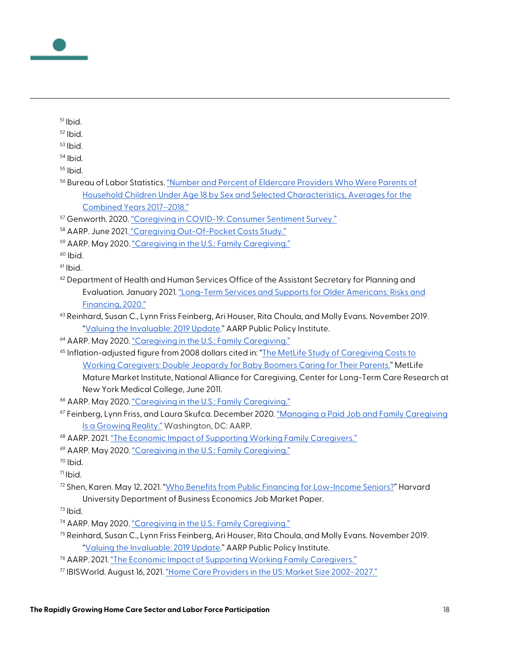

- <span id="page-18-0"></span>Ibid.
- <span id="page-18-1"></span>Ibid.
- <span id="page-18-2"></span>Ibid.
- <span id="page-18-3"></span>Ibid.
- <span id="page-18-4"></span>Ibid.
- <span id="page-18-5"></span> Bureau of Labor Statistics[. "Number and Percent of Eldercare Providers Who Were Parents of](https://www.bls.gov/news.release/elcare.t09.htm)  [Household Children Under Age 18 by Sex and Selected Characteristics, Averages for the](https://www.bls.gov/news.release/elcare.t09.htm)  [Combined Years 2017](https://www.bls.gov/news.release/elcare.t09.htm)-2018."
- <span id="page-18-6"></span>Genworth. 2020[. "Caregiving in COVID-19: Consumer Sentiment Survey."](https://www.genworth.com/about-us/covid-19/consumer-survey.html)
- <span id="page-18-7"></span>AARP. June 2021. ["Caregiving Out-Of-Pocket Costs Study."](https://www.aarp.org/content/dam/aarp/research/surveys_statistics/ltc/2021/family-caregivers-cost-survey-2021.doi.10.26419-2Fres.00473.001.pdf)
- <span id="page-18-8"></span>AARP. May 2020[. "Caregiving in the U.S.: Family Caregiving."](https://www.aarp.org/content/dam/aarp/ppi/2020/05/full-report-caregiving-in-the-united-states.doi.10.26419-2Fppi.00103.001.pdf)
- <span id="page-18-9"></span>Ibid.
- <span id="page-18-10"></span>Ibid.
- <span id="page-18-11"></span> Department of Health and Human Services Office of the Assistant Secretary for Planning and Evaluation. January 2021[. "Long-Term Services and Supports for Older Americans: Risks and](https://aspe.hhs.gov/system/files/pdf/265126/LTSSOlAmRB.pdf)  [Financing, 2020."](https://aspe.hhs.gov/system/files/pdf/265126/LTSSOlAmRB.pdf)
- <span id="page-18-12"></span> Reinhard, Susan C., Lynn Friss Feinberg, Ari Houser, Rita Choula, and Molly Evans. November 2019. ["Valuing the Invaluable: 2019 Update."](https://www.aarp.org/content/dam/aarp/ppi/2019/11/valuing-the-invaluable-2019-update-charting-a-path-forward.doi.10.26419-2Fppi.00082.001.pdf) AARP Public Policy Institute.
- <span id="page-18-13"></span>AARP. May 2020[. "Caregiving in the U.S.: Family Caregiving."](https://www.aarp.org/content/dam/aarp/ppi/2020/05/full-report-caregiving-in-the-united-states.doi.10.26419-2Fppi.00103.001.pdf)
- <span id="page-18-14"></span><sup>65</sup> Inflation-adjusted figure from 2008 dollars cited in: "The MetLife Study of Caregiving Costs to [Working Caregivers: Double Jeopardy for Baby Boomers Caring for Their Parents."](https://www.aarp.org/content/dam/aarp/livable-communities/old-learn/health/metlife-study-of-caregiving-costs-to-working-caregivers-2011-aarp.pdf) MetLife Mature Market Institute, National Alliance for Caregiving, Center for Long-Term Care Research at New York Medical College, June 2011.
- <span id="page-18-15"></span>AARP. May 2020. ["Caregiving in the U.S.: Family Caregiving."](https://www.aarp.org/content/dam/aarp/ppi/2020/05/full-report-caregiving-in-the-united-states.doi.10.26419-2Fppi.00103.001.pdf)
- <span id="page-18-16"></span> Feinberg, Lynn Friss, and Laura Skufca. December 2020. ["Managing a Paid Job and Family Caregiving](https://www.aarp.org/content/dam/aarp/ppi/2020/12/managing-a-paid-job-and-family-caregiving.doi.10.26419-2Fppi.00103.024.pdf)  [Is a Growing Reality."](https://www.aarp.org/content/dam/aarp/ppi/2020/12/managing-a-paid-job-and-family-caregiving.doi.10.26419-2Fppi.00103.024.pdf) Washington, DC: AARP.
- <span id="page-18-17"></span>AARP. 2021. ["The Economic Impact of Supporting Working Family Caregivers."](https://www.aarp.org/content/dam/aarp/research/surveys_statistics/econ/2021/longevity-economy-working-caregivers.doi.10.26419-2Fint.00042.006.pdf)
- <span id="page-18-18"></span>AARP. May 2020[. "Caregiving in the U.S.: Family Caregiving."](https://www.aarp.org/content/dam/aarp/ppi/2020/05/full-report-caregiving-in-the-united-states.doi.10.26419-2Fppi.00103.001.pdf)
- <span id="page-18-19"></span>Ibid.
- <span id="page-18-20"></span>Ibid.
- <span id="page-18-21"></span> Shen, Karen. May 12, 2021. ["Who Benefits from Public Financing for Low-Income Seniors?"](https://scholar.harvard.edu/files/kshen/files/caregivers.pdf) Harvard University Department of Business Economics Job Market Paper.
- <span id="page-18-22"></span>Ibid.
- <span id="page-18-23"></span>AARP. May 2020[. "Caregiving in the U.S.: Family Caregiving."](https://www.aarp.org/content/dam/aarp/ppi/2020/05/full-report-caregiving-in-the-united-states.doi.10.26419-2Fppi.00103.001.pdf)
- <span id="page-18-24"></span> Reinhard, Susan C., Lynn Friss Feinberg, Ari Houser, Rita Choula, and Molly Evans. November 2019. ["Valuing the Invaluable: 2019 Update."](https://www.aarp.org/ppi/info-2015/valuing-the-invaluable-2015-update.html) AARP Public Policy Institute.
- <span id="page-18-25"></span>AARP. 2021[. "The Economic Impact of Supporting Working Family Caregivers."](https://www.aarp.org/content/dam/aarp/research/surveys_statistics/econ/2021/longevity-economy-working-caregivers.doi.10.26419-2Fint.00042.006.pdf)
- <span id="page-18-26"></span>IBISWorld. August 16, 2021. ["Home Care Providers in the US: Market Size 2002](https://www.ibisworld.com/industry-statistics/market-size/home-care-providers-united-states/)–[2027."](https://www.ibisworld.com/industry-statistics/market-size/home-care-providers-united-states/)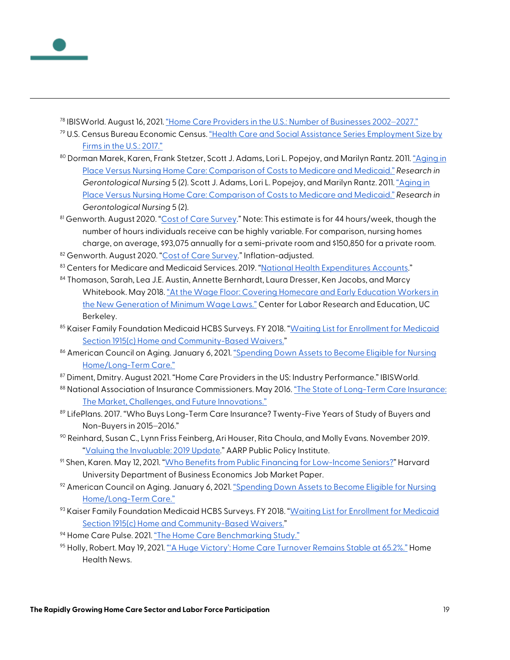<span id="page-19-0"></span>

- <span id="page-19-1"></span><sup>79</sup> U.S. Census Bureau Economic Census[. "Health Care and Social Assistance Series Employment Size by](https://www.census.gov/data/tables/2017/econ/economic-census/naics-sector-62.html)  Firms [in the U.S.: 2017."](https://www.census.gov/data/tables/2017/econ/economic-census/naics-sector-62.html)
- <span id="page-19-2"></span><sup>80</sup> Dorman Marek, Karen, Frank Stetzer, Scott J. Adams, Lori L. Popejoy, and Marilyn Rantz. 2011[. "Aging in](https://journals.healio.com/doi/full/10.3928/19404921-20110802-01)  [Place Versus Nursing Home Care: Comparison of Costs to Medicare and Medicaid."](https://journals.healio.com/doi/full/10.3928/19404921-20110802-01) *Research in Gerontological Nursing* 5 (2). Scott J. Adams, Lori L. Popejoy, and Marilyn Rantz. 2011. ["Aging in](https://journals.healio.com/doi/full/10.3928/19404921-20110802-01)  [Place Versus Nursing Home Care: Comparison of Costs to Medicare and Medicaid."](https://journals.healio.com/doi/full/10.3928/19404921-20110802-01) *Research in Gerontological Nursing* 5 (2).
- <span id="page-19-3"></span>81 Genworth. August 2020. ["Cost of Care Survey."](https://www.genworth.com/aging-and-you/finances/cost-of-care.html) Note: This estimate is for 44 hours/week, though the number of hours individuals receive can be highly variable. For comparison, nursing homes charge, on average, \$93,075 annually for a semi-private room and \$150,850 for a private room.
- <span id="page-19-4"></span>82 Genworth. August 2020. ["Cost of Care Survey."](https://www.genworth.com/aging-and-you/finances/cost-of-care.html) Inflation-adjusted.
- <span id="page-19-5"></span>83 Centers for Medicare and Medicaid Services. 2019. ["National Health Expenditures Accounts."](https://www.cms.gov/Research-Statistics-Data-and-Systems/Statistics-Trends-and-Reports/NationalHealthExpendData/NationalHealthAccountsHistorical)
- <span id="page-19-6"></span>84 Thomason, Sarah, Lea J.E. Austin, Annette Bernhardt, Laura Dresser, Ken Jacobs, and Marcy Whitebook. May 2018[. "At the Wage Floor: Covering Homecare and Early Education Workers in](https://cscce.berkeley.edu/wp-content/uploads/2018/05/At-the-Wage-Floor.pdf)  [the New Generation of Minimum Wage Laws."](https://cscce.berkeley.edu/wp-content/uploads/2018/05/At-the-Wage-Floor.pdf) Center for Labor Research and Education, UC Berkeley.
- <span id="page-19-7"></span>85 Kaiser Family Foundation Medicaid HCBS Surveys. FY 2018. "Waiting List for Enrollment for Medicaid [Section 1915\(c\) Home and Community-Based Waivers."](https://www.kff.org/health-reform/state-indicator/waiting-lists-for-hcbs-waivers/?currentTimeframe=0&sortModel=%7B%22colId%22:%22Location%22,%22sort%22:%22asc%22%7D)
- <span id="page-19-8"></span>86 American Council on Aging. January 6, 2021. "Spending Down Assets to Become Eligible for Nursing [Home/Long-Term Care."](https://www.medicaidplanningassistance.org/medicaid-spend-down/)
- <span id="page-19-9"></span><sup>87</sup> Diment, Dmitry. August 2021. "Home Care Providers in the US: Industry Performance." IBISWorld.
- <span id="page-19-10"></span>88 National Association of Insurance Commissioners. May 2016. "The State of Long-Term Care Insurance: [The Market, Challenges, and Future Innovations."](https://universalfamilycare.org/wp-content/uploads/2019/06/Designing-Universal-Family-Care_Digital-Version_FINAL.pdf)
- <span id="page-19-11"></span>89 LifePlans. 2017. "Who Buys Long-Term Care Insurance? Twenty-Five Years of Study of Buyers and Non-Buyers in 2015-2016."
- <span id="page-19-12"></span> $90$  Reinhard, Susan C., Lynn Friss Feinberg, Ari Houser, Rita Choula, and Molly Evans. November 2019. ["Valuing the Invaluable: 2019 Update."](https://www.aarp.org/content/dam/aarp/ppi/2019/11/valuing-the-invaluable-2019-update-charting-a-path-forward.doi.10.26419-2Fppi.00082.001.pdf) AARP Public Policy Institute.
- <span id="page-19-13"></span>91 Shen, Karen. May 12, 2021. ["Who Benefits from Public Financing for Low-Income Seniors?"](https://scholar.harvard.edu/files/kshen/files/caregivers.pdf) Harvard University Department of Business Economics Job Market Paper.
- <span id="page-19-14"></span> $92$  American Council on Aging. January 6, 2021. "Spending Down Assets to Become Eligible for Nursing [Home/Long-Term Care."](https://www.medicaidplanningassistance.org/medicaid-spend-down/)
- <span id="page-19-15"></span>93 Kaiser Family Foundation Medicaid HCBS Surveys. FY 2018. "Waiting List for Enrollment for Medicaid [Section 1915\(c\) Home and Community-Based Waivers."](https://www.kff.org/health-reform/state-indicator/waiting-lists-for-hcbs-waivers/?currentTimeframe=0&sortModel=%7B%22colId%22:%22Location%22,%22sort%22:%22asc%22%7D)
- <span id="page-19-16"></span><sup>94</sup> Home Care Pulse. 2021. ["The Home Care Benchmarking Study."](https://www.homecarepulse.com/articles/how-to-get-creative-with-recruitment-when-caregiver-applications-are-down/)
- <span id="page-19-17"></span><sup>95</sup> Holly, Robert. May 19, 2021[. "'A Huge Victory': Home Care Turnover Remains Stable at 65.2%."](https://homehealthcarenews.com/2021/05/a-huge-victory-home-care-turnover-remains-stable-at-65-2/) Home Health News.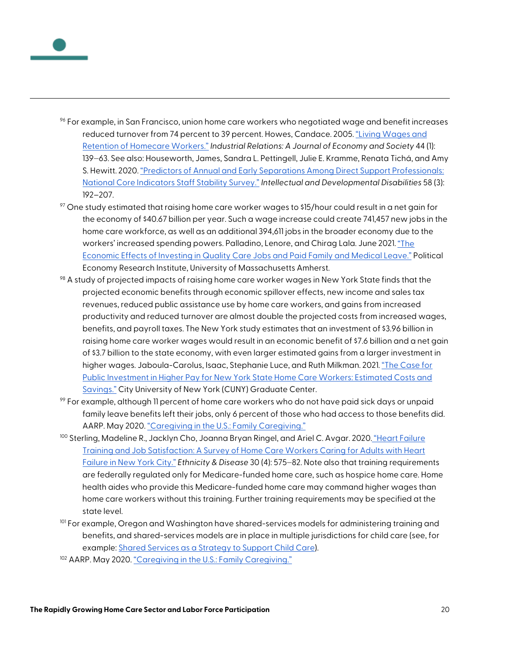

- <span id="page-20-0"></span> $%$  For example, in San Francisco, union home care workers who negotiated wage and benefit increases reduced turnover from 74 percent to 39 percent. Howes, Candace. 2005[. "Living Wages and](https://www.researchgate.net/publication/228279567_Living_Wages_and_the_Retention_of_Home_Care_Workers_in_San_Francisco)  [Retention of Homecare Workers."](https://www.researchgate.net/publication/228279567_Living_Wages_and_the_Retention_of_Home_Care_Workers_in_San_Francisco) *Industrial Relations: A Journal of Economy and Society* 44 (1): 139‒63. See also: Houseworth, James, Sandra L. Pettingell, Julie E. Kramme, Renata Tichá, and Amy S. Hewitt. 2020. "Predictors of Annual and Early [Separations Among Direct Support Professionals:](https://ici.umn.edu/products/gJxE0bVHSEewxX_fEu--2Q)  [National Core Indicators Staff Stability Survey."](https://ici.umn.edu/products/gJxE0bVHSEewxX_fEu--2Q) *Intellectual and Developmental Disabilities* 58 (3): 192–207.
- <span id="page-20-1"></span> $97$  One study estimated that raising home care worker wages to \$15/hour could result in a net gain for the economy of \$40.67 billion per year. Such a wage increase could create 741,457 new jobs in the home care workforce, as well as an additional 394,611 jobs in the broader economy due to the workers' increased spending powers. Palladino, Lenore, and Chirag Lala. June 2021. "The [Economic Effects of Investing in Quality Care Jobs and Paid Family and Medical Leave."](https://peri.umass.edu/component/k2/item/1465-the-economic-effects-of-investing-in-quality-care-jobs-and-paid-family-and-medical-leave) Political Economy Research Institute, University of Massachusetts Amherst.
- <span id="page-20-2"></span><sup>98</sup> A study of projected impacts of raising home care worker wages in New York State finds that the projected economic benefits through economic spillover effects, new income and sales tax revenues, reduced public assistance use by home care workers, and gains from increased productivity and reduced turnover are almost double the projected costs from increased wages, benefits, and payroll taxes. The New York study estimates that an investment of \$3.96 billion in raising home care worker wages would result in an economic benefit of \$7.6 billion and a net gain of \$3.7 billion to the state economy, with even larger estimated gains from a larger investment in higher wages. Jaboula-Carolus, Isaac, Stephanie Luce, and Ruth Milkman. 2021[. "The Case for](https://slu.cuny.edu/wp-content/uploads/2021/03/The-Case-for-Public-Investment-in-Higher-Pay-for-New-York-State-H.pdf)  [Public Investment in Higher Pay for New York State Home Care Workers: Estimated Costs and](https://slu.cuny.edu/wp-content/uploads/2021/03/The-Case-for-Public-Investment-in-Higher-Pay-for-New-York-State-H.pdf)  [Savings."](https://slu.cuny.edu/wp-content/uploads/2021/03/The-Case-for-Public-Investment-in-Higher-Pay-for-New-York-State-H.pdf) City University of New York (CUNY) Graduate Center.
- <span id="page-20-3"></span> $\%$  For example, although 11 percent of home care workers who do not have paid sick days or unpaid family leave benefits left their jobs, only 6 percent of those who had access to those benefits did. AARP. May 2020. ["Caregiving in the U.S.: Family Caregiving."](https://www.aarp.org/content/dam/aarp/ppi/2020/05/full-report-caregiving-in-the-united-states.doi.10.26419-2Fppi.00103.001.pdf)
- <span id="page-20-4"></span><sup>100</sup> Sterling, Madeline R., Jacklyn Cho, Joanna Bryan Ringel, and Ariel C. Avgar. 2020. ["Heart Failure](https://ethndis.org/edonline/index.php/ethndis/article/view/1302/2020)  [Training and Job Satisfaction: A Survey of Home Care Workers Caring for Adults with Heart](https://ethndis.org/edonline/index.php/ethndis/article/view/1302/2020)  [Failure in New York City."](https://ethndis.org/edonline/index.php/ethndis/article/view/1302/2020) *Ethnicity & Disease* 30 (4): 575‒82. Note also that training requirements are federally regulated only for Medicare-funded home care, such as hospice home care. Home health aides who provide this Medicare-funded home care may command higher wages than home care workers without this training. Further training requirements may be specified at the state level.
- <span id="page-20-5"></span>101 For example, Oregon and Washington have shared-services models for administering training and benefits, and shared-services models are in place in multiple jurisdictions for child care (see, for example[: Shared Services as a Strategy to Support Child Care\)](https://files.eric.ed.gov/fulltext/ED583847.pdf).
- <span id="page-20-6"></span>102 AARP. May 2020[. "Caregiving in the U.S.: Family Caregiving."](https://www.aarp.org/content/dam/aarp/ppi/2020/05/full-report-caregiving-in-the-united-states.doi.10.26419-2Fppi.00103.001.pdf)